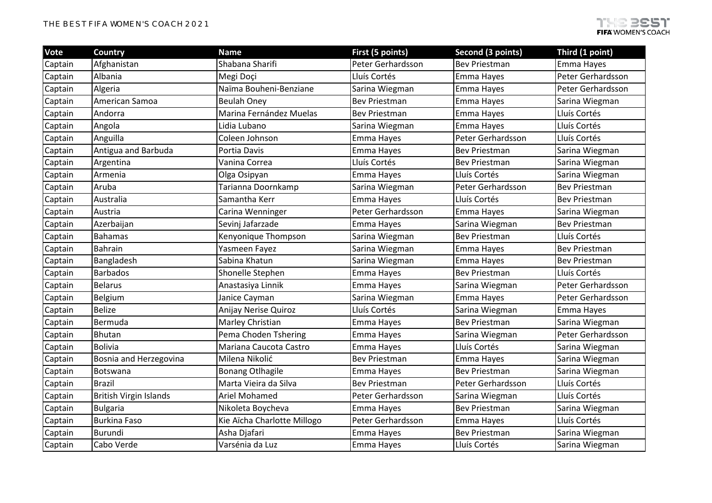| Vote    | <b>Country</b>                | <b>Name</b>                 | First (5 points)     | Second (3 points)    | Third (1 point)      |
|---------|-------------------------------|-----------------------------|----------------------|----------------------|----------------------|
| Captain | Afghanistan                   | Shabana Sharifi             | Peter Gerhardsson    | <b>Bev Priestman</b> | Emma Hayes           |
| Captain | Albania                       | Megi Doçi                   | Lluís Cortés         | Emma Hayes           | Peter Gerhardsson    |
| Captain | Algeria                       | Naïma Bouheni-Benziane      | Sarina Wiegman       | Emma Hayes           | Peter Gerhardsson    |
| Captain | American Samoa                | <b>Beulah Oney</b>          | <b>Bev Priestman</b> | Emma Hayes           | Sarina Wiegman       |
| Captain | Andorra                       | Marina Fernández Muelas     | <b>Bev Priestman</b> | Emma Hayes           | Lluís Cortés         |
| Captain | Angola                        | Lidia Lubano                | Sarina Wiegman       | Emma Hayes           | Lluís Cortés         |
| Captain | Anguilla                      | Coleen Johnson              | Emma Hayes           | Peter Gerhardsson    | Lluís Cortés         |
| Captain | Antigua and Barbuda           | Portia Davis                | Emma Hayes           | <b>Bev Priestman</b> | Sarina Wiegman       |
| Captain | Argentina                     | Vanina Correa               | Lluís Cortés         | <b>Bev Priestman</b> | Sarina Wiegman       |
| Captain | Armenia                       | Olga Osipyan                | Emma Hayes           | Lluís Cortés         | Sarina Wiegman       |
| Captain | Aruba                         | Tarianna Doornkamp          | Sarina Wiegman       | Peter Gerhardsson    | <b>Bev Priestman</b> |
| Captain | Australia                     | Samantha Kerr               | Emma Hayes           | Lluís Cortés         | <b>Bev Priestman</b> |
| Captain | Austria                       | Carina Wenninger            | Peter Gerhardsson    | Emma Hayes           | Sarina Wiegman       |
| Captain | Azerbaijan                    | Sevinj Jafarzade            | Emma Hayes           | Sarina Wiegman       | <b>Bev Priestman</b> |
| Captain | <b>Bahamas</b>                | Kenyonique Thompson         | Sarina Wiegman       | <b>Bev Priestman</b> | Lluís Cortés         |
| Captain | <b>Bahrain</b>                | Yasmeen Fayez               | Sarina Wiegman       | Emma Hayes           | <b>Bev Priestman</b> |
| Captain | Bangladesh                    | Sabina Khatun               | Sarina Wiegman       | Emma Hayes           | <b>Bev Priestman</b> |
| Captain | <b>Barbados</b>               | Shonelle Stephen            | Emma Hayes           | <b>Bev Priestman</b> | Lluís Cortés         |
| Captain | <b>Belarus</b>                | Anastasiya Linnik           | Emma Hayes           | Sarina Wiegman       | Peter Gerhardsson    |
| Captain | Belgium                       | Janice Cayman               | Sarina Wiegman       | Emma Hayes           | Peter Gerhardsson    |
| Captain | <b>Belize</b>                 | Anijay Nerise Quiroz        | Lluís Cortés         | Sarina Wiegman       | Emma Hayes           |
| Captain | Bermuda                       | Marley Christian            | Emma Hayes           | <b>Bev Priestman</b> | Sarina Wiegman       |
| Captain | Bhutan                        | Pema Choden Tshering        | Emma Hayes           | Sarina Wiegman       | Peter Gerhardsson    |
| Captain | <b>Bolivia</b>                | Mariana Caucota Castro      | Emma Hayes           | Lluís Cortés         | Sarina Wiegman       |
| Captain | Bosnia and Herzegovina        | Milena Nikolić              | <b>Bev Priestman</b> | Emma Hayes           | Sarina Wiegman       |
| Captain | Botswana                      | <b>Bonang Otlhagile</b>     | Emma Hayes           | <b>Bev Priestman</b> | Sarina Wiegman       |
| Captain | <b>Brazil</b>                 | Marta Vieira da Silva       | <b>Bev Priestman</b> | Peter Gerhardsson    | Lluís Cortés         |
| Captain | <b>British Virgin Islands</b> | Ariel Mohamed               | Peter Gerhardsson    | Sarina Wiegman       | Lluís Cortés         |
| Captain | <b>Bulgaria</b>               | Nikoleta Boycheva           | Emma Hayes           | <b>Bev Priestman</b> | Sarina Wiegman       |
| Captain | <b>Burkina Faso</b>           | Kie Aïcha Charlotte Millogo | Peter Gerhardsson    | Emma Hayes           | Lluís Cortés         |
| Captain | Burundi                       | Asha Djafari                | Emma Hayes           | <b>Bev Priestman</b> | Sarina Wiegman       |
| Captain | Cabo Verde                    | Varsénia da Luz             | Emma Hayes           | Lluís Cortés         | Sarina Wiegman       |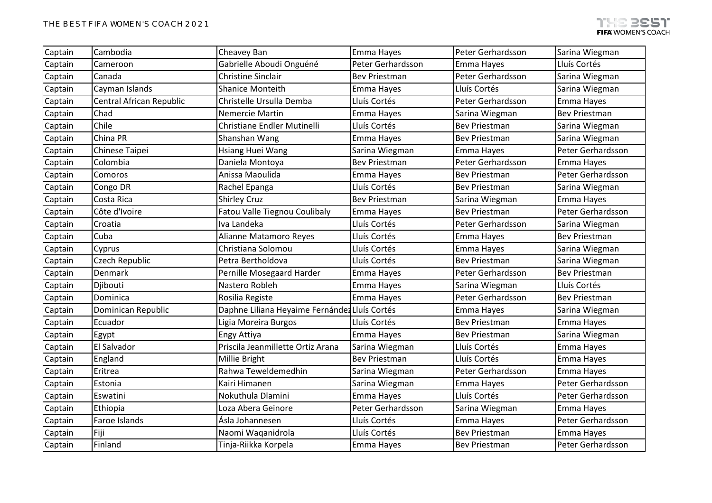| Captain | Cambodia                 | Cheavey Ban                                   | Emma Hayes           | Peter Gerhardsson    | Sarina Wiegman       |
|---------|--------------------------|-----------------------------------------------|----------------------|----------------------|----------------------|
| Captain | Cameroon                 | Gabrielle Aboudi Onguéné                      | Peter Gerhardsson    | Emma Hayes           | Lluís Cortés         |
| Captain | Canada                   | Christine Sinclair                            | <b>Bev Priestman</b> | Peter Gerhardsson    | Sarina Wiegman       |
| Captain | Cayman Islands           | <b>Shanice Monteith</b>                       | Emma Hayes           | Lluís Cortés         | Sarina Wiegman       |
| Captain | Central African Republic | Christelle Ursulla Demba                      | Lluís Cortés         | Peter Gerhardsson    | Emma Hayes           |
| Captain | Chad                     | <b>Nemercie Martin</b>                        | Emma Hayes           | Sarina Wiegman       | <b>Bev Priestman</b> |
| Captain | Chile                    | Christiane Endler Mutinelli                   | Lluís Cortés         | <b>Bev Priestman</b> | Sarina Wiegman       |
| Captain | China PR                 | Shanshan Wang                                 | Emma Hayes           | Bev Priestman        | Sarina Wiegman       |
| Captain | Chinese Taipei           | Hsiang Huei Wang                              | Sarina Wiegman       | Emma Hayes           | Peter Gerhardsson    |
| Captain | Colombia                 | Daniela Montoya                               | <b>Bev Priestman</b> | Peter Gerhardsson    | Emma Hayes           |
| Captain | Comoros                  | Anissa Maoulida                               | Emma Hayes           | <b>Bev Priestman</b> | Peter Gerhardsson    |
| Captain | Congo DR                 | Rachel Epanga                                 | Lluís Cortés         | Bev Priestman        | Sarina Wiegman       |
| Captain | Costa Rica               | <b>Shirley Cruz</b>                           | <b>Bev Priestman</b> | Sarina Wiegman       | Emma Hayes           |
| Captain | Côte d'Ivoire            | Fatou Valle Tiegnou Coulibaly                 | Emma Hayes           | <b>Bev Priestman</b> | Peter Gerhardsson    |
| Captain | Croatia                  | Iva Landeka                                   | Lluís Cortés         | Peter Gerhardsson    | Sarina Wiegman       |
| Captain | Cuba                     | Alianne Matamoro Reyes                        | Lluís Cortés         | Emma Hayes           | <b>Bev Priestman</b> |
| Captain | Cyprus                   | Christiana Solomou                            | Lluís Cortés         | Emma Hayes           | Sarina Wiegman       |
| Captain | <b>Czech Republic</b>    | Petra Bertholdova                             | Lluís Cortés         | <b>Bev Priestman</b> | Sarina Wiegman       |
| Captain | Denmark                  | Pernille Mosegaard Harder                     | Emma Hayes           | Peter Gerhardsson    | <b>Bev Priestman</b> |
| Captain | Djibouti                 | Nastero Robleh                                | Emma Hayes           | Sarina Wiegman       | Lluís Cortés         |
| Captain | Dominica                 | Rosilia Registe                               | Emma Hayes           | Peter Gerhardsson    | <b>Bev Priestman</b> |
| Captain | Dominican Republic       | Daphne Liliana Heyaime Fernández Lluís Cortés |                      | Emma Hayes           | Sarina Wiegman       |
| Captain | Ecuador                  | Ligia Moreira Burgos                          | Lluís Cortés         | <b>Bev Priestman</b> | Emma Hayes           |
| Captain | Egypt                    | Engy Attiya                                   | Emma Hayes           | <b>Bev Priestman</b> | Sarina Wiegman       |
| Captain | El Salvador              | Priscila Jeanmillette Ortiz Arana             | Sarina Wiegman       | Lluís Cortés         | Emma Hayes           |
| Captain | England                  | Millie Bright                                 | <b>Bev Priestman</b> | Lluís Cortés         | Emma Hayes           |
| Captain | Eritrea                  | Rahwa Teweldemedhin                           | Sarina Wiegman       | Peter Gerhardsson    | Emma Hayes           |
| Captain | Estonia                  | Kairi Himanen                                 | Sarina Wiegman       | Emma Hayes           | Peter Gerhardsson    |
| Captain | Eswatini                 | Nokuthula Dlamini                             | Emma Hayes           | Lluís Cortés         | Peter Gerhardsson    |
| Captain | Ethiopia                 | Loza Abera Geinore                            | Peter Gerhardsson    | Sarina Wiegman       | Emma Hayes           |
| Captain | Faroe Islands            | Ásla Johannesen                               | Lluís Cortés         | Emma Hayes           | Peter Gerhardsson    |
| Captain | Fiji                     | Naomi Waqanidrola                             | Lluís Cortés         | <b>Bev Priestman</b> | Emma Hayes           |
| Captain | Finland                  | Tinja-Riikka Korpela                          | Emma Hayes           | <b>Bev Priestman</b> | Peter Gerhardsson    |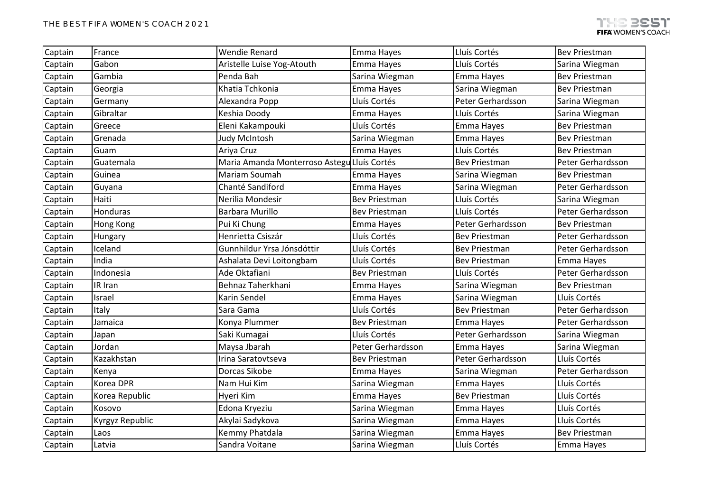| Captain | France           | <b>Wendie Renard</b>                        | Emma Hayes           | Lluís Cortés         | <b>Bev Priestman</b> |
|---------|------------------|---------------------------------------------|----------------------|----------------------|----------------------|
| Captain | Gabon            | Aristelle Luise Yog-Atouth                  | Emma Hayes           | Lluís Cortés         | Sarina Wiegman       |
| Captain | Gambia           | Penda Bah                                   | Sarina Wiegman       | Emma Hayes           | <b>Bev Priestman</b> |
| Captain | Georgia          | Khatia Tchkonia                             | Emma Hayes           | Sarina Wiegman       | <b>Bev Priestman</b> |
| Captain | Germany          | Alexandra Popp                              | Lluís Cortés         | Peter Gerhardsson    | Sarina Wiegman       |
| Captain | Gibraltar        | Keshia Doody                                | Emma Hayes           | Lluís Cortés         | Sarina Wiegman       |
| Captain | Greece           | Eleni Kakampouki                            | Lluís Cortés         | Emma Hayes           | <b>Bev Priestman</b> |
| Captain | Grenada          | Judy McIntosh                               | Sarina Wiegman       | Emma Hayes           | <b>Bev Priestman</b> |
| Captain | Guam             | Ariya Cruz                                  | Emma Hayes           | Lluís Cortés         | <b>Bev Priestman</b> |
| Captain | Guatemala        | Maria Amanda Monterroso Astegu Lluís Cortés |                      | <b>Bev Priestman</b> | Peter Gerhardsson    |
| Captain | Guinea           | Mariam Soumah                               | Emma Hayes           | Sarina Wiegman       | <b>Bev Priestman</b> |
| Captain | Guyana           | Chanté Sandiford                            | Emma Hayes           | Sarina Wiegman       | Peter Gerhardsson    |
| Captain | Haiti            | Nerilia Mondesir                            | <b>Bev Priestman</b> | Lluís Cortés         | Sarina Wiegman       |
| Captain | Honduras         | <b>Barbara Murillo</b>                      | <b>Bev Priestman</b> | Lluís Cortés         | Peter Gerhardsson    |
| Captain | <b>Hong Kong</b> | Pui Ki Chung                                | Emma Hayes           | Peter Gerhardsson    | <b>Bev Priestman</b> |
| Captain | Hungary          | Henrietta Csiszár                           | Lluís Cortés         | <b>Bev Priestman</b> | Peter Gerhardsson    |
| Captain | Iceland          | Gunnhildur Yrsa Jónsdóttir                  | Lluís Cortés         | <b>Bev Priestman</b> | Peter Gerhardsson    |
| Captain | India            | Ashalata Devi Loitongbam                    | Lluís Cortés         | <b>Bev Priestman</b> | Emma Hayes           |
| Captain | Indonesia        | Ade Oktafiani                               | <b>Bev Priestman</b> | Lluís Cortés         | Peter Gerhardsson    |
| Captain | IR Iran          | Behnaz Taherkhani                           | Emma Hayes           | Sarina Wiegman       | <b>Bev Priestman</b> |
| Captain | Israel           | Karin Sendel                                | Emma Hayes           | Sarina Wiegman       | Lluís Cortés         |
| Captain | Italy            | Sara Gama                                   | Lluís Cortés         | <b>Bev Priestman</b> | Peter Gerhardsson    |
| Captain | Jamaica          | Konya Plummer                               | <b>Bev Priestman</b> | Emma Hayes           | Peter Gerhardsson    |
| Captain | Japan            | Saki Kumagai                                | Lluís Cortés         | Peter Gerhardsson    | Sarina Wiegman       |
| Captain | Jordan           | Maysa Jbarah                                | Peter Gerhardsson    | Emma Hayes           | Sarina Wiegman       |
| Captain | Kazakhstan       | Irina Saratovtseva                          | <b>Bev Priestman</b> | Peter Gerhardsson    | Lluís Cortés         |
| Captain | Kenya            | Dorcas Sikobe                               | Emma Hayes           | Sarina Wiegman       | Peter Gerhardsson    |
| Captain | Korea DPR        | Nam Hui Kim                                 | Sarina Wiegman       | Emma Hayes           | Lluís Cortés         |
| Captain | Korea Republic   | Hyeri Kim                                   | Emma Hayes           | <b>Bev Priestman</b> | Lluís Cortés         |
| Captain | Kosovo           | Edona Kryeziu                               | Sarina Wiegman       | Emma Hayes           | Lluís Cortés         |
| Captain | Kyrgyz Republic  | Akylai Sadykova                             | Sarina Wiegman       | Emma Hayes           | Lluís Cortés         |
| Captain | Laos             | Kemmy Phatdala                              | Sarina Wiegman       | Emma Hayes           | <b>Bev Priestman</b> |
| Captain | Latvia           | Sandra Voitane                              | Sarina Wiegman       | Lluís Cortés         | Emma Hayes           |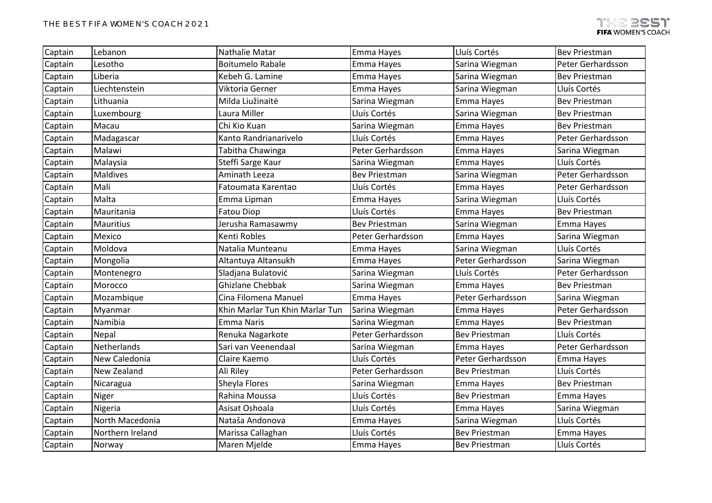| Captain | Lebanon          | Nathalie Matar                  | Emma Hayes           | Lluís Cortés         | <b>Bev Priestman</b> |
|---------|------------------|---------------------------------|----------------------|----------------------|----------------------|
| Captain | Lesotho          | <b>Boitumelo Rabale</b>         | Emma Hayes           | Sarina Wiegman       | Peter Gerhardsson    |
| Captain | Liberia          | Kebeh G. Lamine                 | Emma Hayes           | Sarina Wiegman       | <b>Bev Priestman</b> |
| Captain | Liechtenstein    | Viktoria Gerner                 | Emma Hayes           | Sarina Wiegman       | Lluís Cortés         |
| Captain | Lithuania        | Milda Liužinaitė                | Sarina Wiegman       | Emma Hayes           | <b>Bev Priestman</b> |
| Captain | Luxembourg       | Laura Miller                    | Lluís Cortés         | Sarina Wiegman       | <b>Bev Priestman</b> |
| Captain | Macau            | Chi Kio Kuan                    | Sarina Wiegman       | Emma Hayes           | <b>Bev Priestman</b> |
| Captain | Madagascar       | Kanto Randrianarivelo           | Lluís Cortés         | Emma Hayes           | Peter Gerhardsson    |
| Captain | Malawi           | Tabitha Chawinga                | Peter Gerhardsson    | Emma Hayes           | Sarina Wiegman       |
| Captain | Malaysia         | Steffi Sarge Kaur               | Sarina Wiegman       | Emma Hayes           | Lluís Cortés         |
| Captain | Maldives         | Aminath Leeza                   | <b>Bev Priestman</b> | Sarina Wiegman       | Peter Gerhardsson    |
| Captain | Mali             | Fatoumata Karentao              | Lluís Cortés         | Emma Hayes           | Peter Gerhardsson    |
| Captain | Malta            | Emma Lipman                     | Emma Hayes           | Sarina Wiegman       | Lluís Cortés         |
| Captain | Mauritania       | <b>Fatou Diop</b>               | Lluís Cortés         | Emma Hayes           | <b>Bev Priestman</b> |
| Captain | Mauritius        | Jerusha Ramasawmy               | <b>Bev Priestman</b> | Sarina Wiegman       | Emma Hayes           |
| Captain | Mexico           | Kenti Robles                    | Peter Gerhardsson    | Emma Hayes           | Sarina Wiegman       |
| Captain | Moldova          | Natalia Munteanu                | Emma Hayes           | Sarina Wiegman       | Lluís Cortés         |
| Captain | Mongolia         | Altantuya Altansukh             | Emma Hayes           | Peter Gerhardsson    | Sarina Wiegman       |
| Captain | Montenegro       | Sladjana Bulatović              | Sarina Wiegman       | Lluís Cortés         | Peter Gerhardsson    |
| Captain | Morocco          | <b>Ghizlane Chebbak</b>         | Sarina Wiegman       | Emma Hayes           | <b>Bev Priestman</b> |
| Captain | Mozambique       | Cina Filomena Manuel            | Emma Hayes           | Peter Gerhardsson    | Sarina Wiegman       |
| Captain | Myanmar          | Khin Marlar Tun Khin Marlar Tun | Sarina Wiegman       | Emma Hayes           | Peter Gerhardsson    |
| Captain | Namibia          | <b>Emma Naris</b>               | Sarina Wiegman       | Emma Hayes           | <b>Bev Priestman</b> |
| Captain | Nepal            | Renuka Nagarkote                | Peter Gerhardsson    | <b>Bev Priestman</b> | Lluís Cortés         |
| Captain | Netherlands      | Sari van Veenendaal             | Sarina Wiegman       | Emma Hayes           | Peter Gerhardsson    |
| Captain | New Caledonia    | Claire Kaemo                    | Lluís Cortés         | Peter Gerhardsson    | Emma Hayes           |
| Captain | New Zealand      | Ali Riley                       | Peter Gerhardsson    | <b>Bev Priestman</b> | Lluís Cortés         |
| Captain | Nicaragua        | Sheyla Flores                   | Sarina Wiegman       | Emma Hayes           | <b>Bev Priestman</b> |
| Captain | Niger            | Rahina Moussa                   | Lluís Cortés         | <b>Bev Priestman</b> | Emma Hayes           |
| Captain | Nigeria          | Asisat Oshoala                  | Lluís Cortés         | Emma Hayes           | Sarina Wiegman       |
| Captain | North Macedonia  | Nataša Andonova                 | Emma Hayes           | Sarina Wiegman       | Lluís Cortés         |
| Captain | Northern Ireland | Marissa Callaghan               | Lluís Cortés         | <b>Bev Priestman</b> | Emma Hayes           |
| Captain | Norway           | Maren Mjelde                    | Emma Hayes           | <b>Bev Priestman</b> | Lluís Cortés         |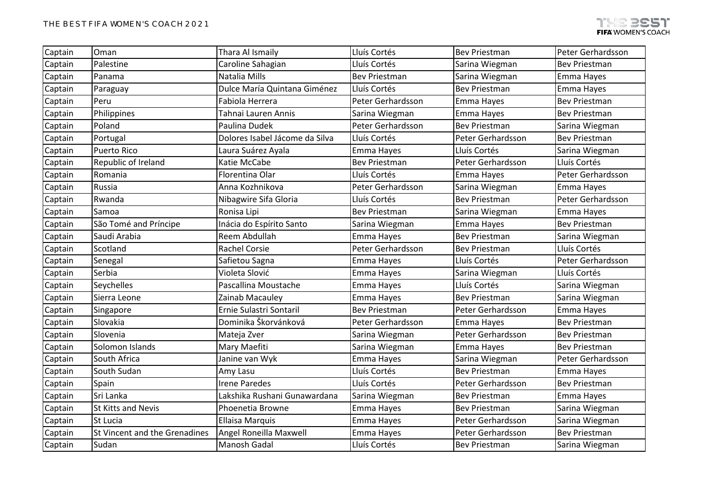| Captain | Oman                          | Thara Al Ismaily               | Lluís Cortés         | <b>Bev Priestman</b> | Peter Gerhardsson    |
|---------|-------------------------------|--------------------------------|----------------------|----------------------|----------------------|
| Captain | Palestine                     | Caroline Sahagian              | Lluís Cortés         | Sarina Wiegman       | <b>Bev Priestman</b> |
| Captain | Panama                        | Natalia Mills                  | <b>Bev Priestman</b> | Sarina Wiegman       | Emma Hayes           |
| Captain | Paraguay                      | Dulce María Quintana Giménez   | Lluís Cortés         | <b>Bev Priestman</b> | Emma Hayes           |
| Captain | Peru                          | Fabiola Herrera                | Peter Gerhardsson    | Emma Hayes           | <b>Bev Priestman</b> |
| Captain | Philippines                   | Tahnai Lauren Annis            | Sarina Wiegman       | Emma Hayes           | <b>Bev Priestman</b> |
| Captain | Poland                        | Paulina Dudek                  | Peter Gerhardsson    | <b>Bev Priestman</b> | Sarina Wiegman       |
| Captain | Portugal                      | Dolores Isabel Jácome da Silva | Lluís Cortés         | Peter Gerhardsson    | <b>Bev Priestman</b> |
| Captain | <b>Puerto Rico</b>            | Laura Suárez Ayala             | Emma Hayes           | Lluís Cortés         | Sarina Wiegman       |
| Captain | Republic of Ireland           | Katie McCabe                   | <b>Bev Priestman</b> | Peter Gerhardsson    | Lluís Cortés         |
| Captain | Romania                       | Florentina Olar                | Lluís Cortés         | Emma Hayes           | Peter Gerhardsson    |
| Captain | Russia                        | Anna Kozhnikova                | Peter Gerhardsson    | Sarina Wiegman       | Emma Hayes           |
| Captain | Rwanda                        | Nibagwire Sifa Gloria          | Lluís Cortés         | <b>Bev Priestman</b> | Peter Gerhardsson    |
| Captain | Samoa                         | Ronisa Lipi                    | <b>Bev Priestman</b> | Sarina Wiegman       | Emma Hayes           |
| Captain | São Tomé and Príncipe         | Inácia do Espírito Santo       | Sarina Wiegman       | Emma Hayes           | <b>Bev Priestman</b> |
| Captain | Saudi Arabia                  | Reem Abdullah                  | Emma Hayes           | <b>Bev Priestman</b> | Sarina Wiegman       |
| Captain | Scotland                      | <b>Rachel Corsie</b>           | Peter Gerhardsson    | <b>Bev Priestman</b> | Lluís Cortés         |
| Captain | Senegal                       | Safietou Sagna                 | Emma Hayes           | Lluís Cortés         | Peter Gerhardsson    |
| Captain | Serbia                        | Violeta Slović                 | Emma Hayes           | Sarina Wiegman       | Lluís Cortés         |
| Captain | Seychelles                    | Pascallina Moustache           | Emma Hayes           | Lluís Cortés         | Sarina Wiegman       |
| Captain | Sierra Leone                  | Zainab Macauley                | Emma Hayes           | <b>Bev Priestman</b> | Sarina Wiegman       |
| Captain | Singapore                     | Ernie Sulastri Sontaril        | <b>Bev Priestman</b> | Peter Gerhardsson    | Emma Hayes           |
| Captain | Slovakia                      | Dominika Škorvánková           | Peter Gerhardsson    | Emma Hayes           | <b>Bev Priestman</b> |
| Captain | Slovenia                      | Mateja Zver                    | Sarina Wiegman       | Peter Gerhardsson    | Bev Priestman        |
| Captain | Solomon Islands               | Mary Maefiti                   | Sarina Wiegman       | Emma Hayes           | <b>Bev Priestman</b> |
| Captain | South Africa                  | Janine van Wyk                 | Emma Hayes           | Sarina Wiegman       | Peter Gerhardsson    |
| Captain | South Sudan                   | Amy Lasu                       | Lluís Cortés         | <b>Bev Priestman</b> | Emma Hayes           |
| Captain | Spain                         | <b>Irene Paredes</b>           | Lluís Cortés         | Peter Gerhardsson    | <b>Bev Priestman</b> |
| Captain | Sri Lanka                     | Lakshika Rushani Gunawardana   | Sarina Wiegman       | <b>Bev Priestman</b> | Emma Hayes           |
| Captain | St Kitts and Nevis            | Phoenetia Browne               | Emma Hayes           | <b>Bev Priestman</b> | Sarina Wiegman       |
| Captain | St Lucia                      | <b>Ellaisa Marquis</b>         | Emma Hayes           | Peter Gerhardsson    | Sarina Wiegman       |
| Captain | St Vincent and the Grenadines | Angel Roneilla Maxwell         | Emma Hayes           | Peter Gerhardsson    | <b>Bev Priestman</b> |
| Captain | Sudan                         | Manosh Gadal                   | Lluís Cortés         | <b>Bev Priestman</b> | Sarina Wiegman       |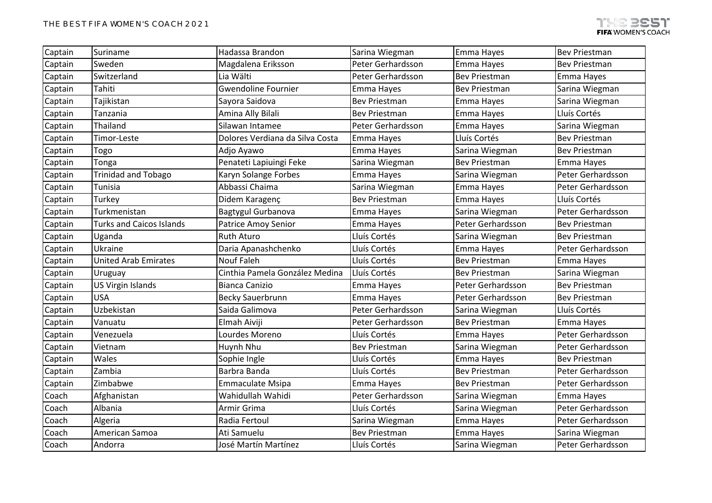| Captain | Suriname                        | Hadassa Brandon                 | Sarina Wiegman       | Emma Hayes           | <b>Bev Priestman</b> |
|---------|---------------------------------|---------------------------------|----------------------|----------------------|----------------------|
| Captain | Sweden                          | Magdalena Eriksson              | Peter Gerhardsson    | Emma Hayes           | <b>Bev Priestman</b> |
| Captain | Switzerland                     | Lia Wälti                       | Peter Gerhardsson    | <b>Bev Priestman</b> | Emma Hayes           |
| Captain | Tahiti                          | <b>Gwendoline Fournier</b>      | Emma Hayes           | <b>Bev Priestman</b> | Sarina Wiegman       |
| Captain | Tajikistan                      | Sayora Saidova                  | <b>Bev Priestman</b> | Emma Hayes           | Sarina Wiegman       |
| Captain | Tanzania                        | Amina Ally Bilali               | <b>Bev Priestman</b> | Emma Hayes           | Lluís Cortés         |
| Captain | Thailand                        | Silawan Intamee                 | Peter Gerhardsson    | Emma Hayes           | Sarina Wiegman       |
| Captain | Timor-Leste                     | Dolores Verdiana da Silva Costa | Emma Hayes           | Lluís Cortés         | <b>Bev Priestman</b> |
| Captain | Togo                            | Adjo Ayawo                      | Emma Hayes           | Sarina Wiegman       | <b>Bev Priestman</b> |
| Captain | Tonga                           | Penateti Lapiuingi Feke         | Sarina Wiegman       | <b>Bev Priestman</b> | Emma Hayes           |
| Captain | <b>Trinidad and Tobago</b>      | Karyn Solange Forbes            | Emma Hayes           | Sarina Wiegman       | Peter Gerhardsson    |
| Captain | Tunisia                         | Abbassi Chaima                  | Sarina Wiegman       | Emma Hayes           | Peter Gerhardsson    |
| Captain | Turkey                          | Didem Karagenç                  | <b>Bev Priestman</b> | Emma Hayes           | Lluís Cortés         |
| Captain | Turkmenistan                    | Bagtygul Gurbanova              | Emma Hayes           | Sarina Wiegman       | Peter Gerhardsson    |
| Captain | <b>Turks and Caicos Islands</b> | <b>Patrice Amoy Senior</b>      | Emma Hayes           | Peter Gerhardsson    | <b>Bev Priestman</b> |
| Captain | Uganda                          | <b>Ruth Aturo</b>               | Lluís Cortés         | Sarina Wiegman       | <b>Bev Priestman</b> |
| Captain | Ukraine                         | Daria Apanashchenko             | Lluís Cortés         | Emma Hayes           | Peter Gerhardsson    |
| Captain | <b>United Arab Emirates</b>     | <b>Nouf Faleh</b>               | Lluís Cortés         | <b>Bev Priestman</b> | Emma Hayes           |
| Captain | Uruguay                         | Cinthia Pamela González Medina  | Lluís Cortés         | <b>Bev Priestman</b> | Sarina Wiegman       |
| Captain | US Virgin Islands               | <b>Bianca Canizio</b>           | Emma Hayes           | Peter Gerhardsson    | <b>Bev Priestman</b> |
| Captain | <b>USA</b>                      | <b>Becky Sauerbrunn</b>         | Emma Hayes           | Peter Gerhardsson    | <b>Bev Priestman</b> |
| Captain | Uzbekistan                      | Saida Galimova                  | Peter Gerhardsson    | Sarina Wiegman       | Lluís Cortés         |
| Captain | Vanuatu                         | Elmah Aiviji                    | Peter Gerhardsson    | <b>Bev Priestman</b> | Emma Hayes           |
| Captain | Venezuela                       | Lourdes Moreno                  | Lluís Cortés         | Emma Hayes           | Peter Gerhardsson    |
| Captain | Vietnam                         | Huynh Nhu                       | <b>Bev Priestman</b> | Sarina Wiegman       | Peter Gerhardsson    |
| Captain | Wales                           | Sophie Ingle                    | Lluís Cortés         | Emma Hayes           | <b>Bev Priestman</b> |
| Captain | Zambia                          | Barbra Banda                    | Lluís Cortés         | <b>Bev Priestman</b> | Peter Gerhardsson    |
| Captain | Zimbabwe                        | <b>Emmaculate Msipa</b>         | Emma Hayes           | <b>Bev Priestman</b> | Peter Gerhardsson    |
| Coach   | Afghanistan                     | Wahidullah Wahidi               | Peter Gerhardsson    | Sarina Wiegman       | Emma Hayes           |
| Coach   | Albania                         | Armir Grima                     | Lluís Cortés         | Sarina Wiegman       | Peter Gerhardsson    |
| Coach   | Algeria                         | Radia Fertoul                   | Sarina Wiegman       | Emma Hayes           | Peter Gerhardsson    |
| Coach   | American Samoa                  | Ati Samuelu                     | <b>Bev Priestman</b> | Emma Hayes           | Sarina Wiegman       |
| Coach   | Andorra                         | José Martín Martínez            | Lluís Cortés         | Sarina Wiegman       | Peter Gerhardsson    |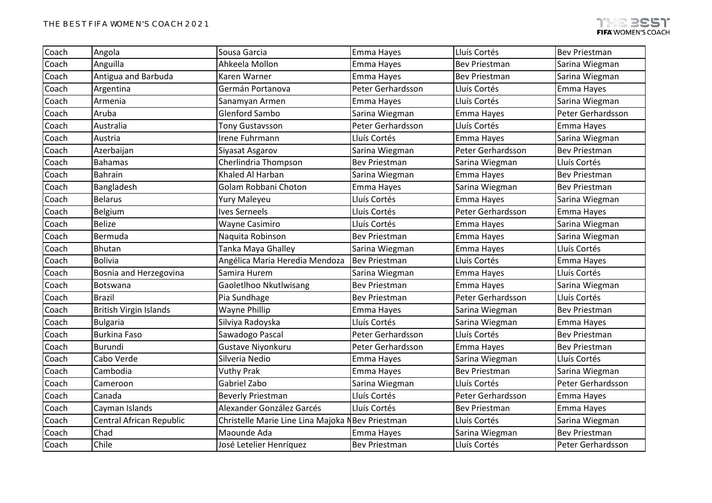| Coach | Angola                        | Sousa Garcia                                     | Emma Hayes           | Lluís Cortés         | <b>Bev Priestman</b> |
|-------|-------------------------------|--------------------------------------------------|----------------------|----------------------|----------------------|
| Coach | Anguilla                      | Ahkeela Mollon                                   | Emma Hayes           | <b>Bev Priestman</b> | Sarina Wiegman       |
| Coach | Antigua and Barbuda           | Karen Warner                                     | Emma Hayes           | <b>Bev Priestman</b> | Sarina Wiegman       |
| Coach | Argentina                     | Germán Portanova                                 | Peter Gerhardsson    | Lluís Cortés         | Emma Hayes           |
| Coach | Armenia                       | Sanamyan Armen                                   | Emma Hayes           | Lluís Cortés         | Sarina Wiegman       |
| Coach | Aruba                         | <b>Glenford Sambo</b>                            | Sarina Wiegman       | Emma Hayes           | Peter Gerhardsson    |
| Coach | Australia                     | <b>Tony Gustavsson</b>                           | Peter Gerhardsson    | Lluís Cortés         | Emma Hayes           |
| Coach | Austria                       | Irene Fuhrmann                                   | Lluís Cortés         | Emma Hayes           | Sarina Wiegman       |
| Coach | Azerbaijan                    | Siyasat Asgarov                                  | Sarina Wiegman       | Peter Gerhardsson    | <b>Bev Priestman</b> |
| Coach | <b>Bahamas</b>                | Cherlindria Thompson                             | <b>Bev Priestman</b> | Sarina Wiegman       | Lluís Cortés         |
| Coach | <b>Bahrain</b>                | Khaled Al Harban                                 | Sarina Wiegman       | Emma Hayes           | <b>Bev Priestman</b> |
| Coach | Bangladesh                    | Golam Robbani Choton                             | Emma Hayes           | Sarina Wiegman       | <b>Bev Priestman</b> |
| Coach | <b>Belarus</b>                | Yury Maleyeu                                     | Lluís Cortés         | Emma Hayes           | Sarina Wiegman       |
| Coach | Belgium                       | <b>Ives Serneels</b>                             | Lluís Cortés         | Peter Gerhardsson    | Emma Hayes           |
| Coach | Belize                        | Wayne Casimiro                                   | Lluís Cortés         | Emma Hayes           | Sarina Wiegman       |
| Coach | Bermuda                       | Naquita Robinson                                 | <b>Bev Priestman</b> | Emma Hayes           | Sarina Wiegman       |
| Coach | <b>Bhutan</b>                 | Tanka Maya Ghalley                               | Sarina Wiegman       | Emma Hayes           | Lluís Cortés         |
| Coach | <b>Bolivia</b>                | Angélica Maria Heredia Mendoza                   | <b>Bev Priestman</b> | Lluís Cortés         | Emma Hayes           |
| Coach | Bosnia and Herzegovina        | Samira Hurem                                     | Sarina Wiegman       | Emma Hayes           | Lluís Cortés         |
| Coach | Botswana                      | Gaoletlhoo Nkutlwisang                           | <b>Bev Priestman</b> | Emma Hayes           | Sarina Wiegman       |
| Coach | <b>Brazil</b>                 | Pia Sundhage                                     | <b>Bev Priestman</b> | Peter Gerhardsson    | Lluís Cortés         |
| Coach | <b>British Virgin Islands</b> | <b>Wayne Phillip</b>                             | Emma Hayes           | Sarina Wiegman       | <b>Bev Priestman</b> |
| Coach | <b>Bulgaria</b>               | Silviya Radoyska                                 | Lluís Cortés         | Sarina Wiegman       | Emma Hayes           |
| Coach | <b>Burkina Faso</b>           | Sawadogo Pascal                                  | Peter Gerhardsson    | Lluís Cortés         | <b>Bev Priestman</b> |
| Coach | Burundi                       | Gustave Niyonkuru                                | Peter Gerhardsson    | Emma Hayes           | <b>Bev Priestman</b> |
| Coach | Cabo Verde                    | Silveria Nedio                                   | Emma Hayes           | Sarina Wiegman       | Lluís Cortés         |
| Coach | Cambodia                      | <b>Vuthy Prak</b>                                | Emma Hayes           | <b>Bev Priestman</b> | Sarina Wiegman       |
| Coach | Cameroon                      | Gabriel Zabo                                     | Sarina Wiegman       | Lluís Cortés         | Peter Gerhardsson    |
| Coach | Canada                        | <b>Beverly Priestman</b>                         | Lluís Cortés         | Peter Gerhardsson    | Emma Hayes           |
| Coach | Cayman Islands                | Alexander González Garcés                        | Lluís Cortés         | <b>Bev Priestman</b> | Emma Hayes           |
| Coach | Central African Republic      | Christelle Marie Line Lina Majoka NBev Priestman |                      | Lluís Cortés         | Sarina Wiegman       |
| Coach | Chad                          | Maounde Ada                                      | Emma Hayes           | Sarina Wiegman       | <b>Bev Priestman</b> |
| Coach | Chile                         | José Letelier Henríquez                          | <b>Bev Priestman</b> | Lluís Cortés         | Peter Gerhardsson    |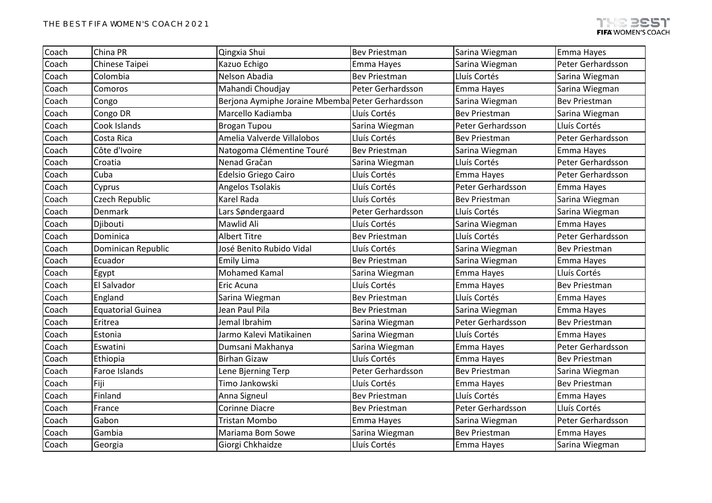| Coach | China PR                 | Qingxia Shui                                     | <b>Bev Priestman</b> | Sarina Wiegman       | Emma Hayes           |
|-------|--------------------------|--------------------------------------------------|----------------------|----------------------|----------------------|
| Coach | Chinese Taipei           | Kazuo Echigo                                     | Emma Hayes           | Sarina Wiegman       | Peter Gerhardsson    |
| Coach | Colombia                 | Nelson Abadia                                    | <b>Bev Priestman</b> | Lluís Cortés         | Sarina Wiegman       |
| Coach | Comoros                  | Mahandi Choudjay                                 | Peter Gerhardsson    | Emma Hayes           | Sarina Wiegman       |
| Coach | Congo                    | Berjona Aymiphe Joraine Mbemba Peter Gerhardsson |                      | Sarina Wiegman       | <b>Bev Priestman</b> |
| Coach | Congo DR                 | Marcello Kadiamba                                | Lluís Cortés         | <b>Bev Priestman</b> | Sarina Wiegman       |
| Coach | Cook Islands             | <b>Brogan Tupou</b>                              | Sarina Wiegman       | Peter Gerhardsson    | Lluís Cortés         |
| Coach | Costa Rica               | Amelia Valverde Villalobos                       | Lluís Cortés         | <b>Bev Priestman</b> | Peter Gerhardsson    |
| Coach | Côte d'Ivoire            | Natogoma Clémentine Touré                        | <b>Bev Priestman</b> | Sarina Wiegman       | Emma Hayes           |
| Coach | Croatia                  | Nenad Gračan                                     | Sarina Wiegman       | Lluís Cortés         | Peter Gerhardsson    |
| Coach | Cuba                     | Edelsio Griego Cairo                             | Lluís Cortés         | Emma Hayes           | Peter Gerhardsson    |
| Coach | Cyprus                   | Angelos Tsolakis                                 | Lluís Cortés         | Peter Gerhardsson    | Emma Hayes           |
| Coach | Czech Republic           | Karel Rada                                       | Lluís Cortés         | <b>Bev Priestman</b> | Sarina Wiegman       |
| Coach | Denmark                  | Lars Søndergaard                                 | Peter Gerhardsson    | Lluís Cortés         | Sarina Wiegman       |
| Coach | Djibouti                 | Mawlid Ali                                       | Lluís Cortés         | Sarina Wiegman       | Emma Hayes           |
| Coach | Dominica                 | <b>Albert Titre</b>                              | <b>Bev Priestman</b> | Lluís Cortés         | Peter Gerhardsson    |
| Coach | Dominican Republic       | José Benito Rubido Vidal                         | Lluís Cortés         | Sarina Wiegman       | Bev Priestman        |
| Coach | Ecuador                  | <b>Emily Lima</b>                                | <b>Bev Priestman</b> | Sarina Wiegman       | Emma Hayes           |
| Coach | Egypt                    | <b>Mohamed Kamal</b>                             | Sarina Wiegman       | Emma Hayes           | Lluís Cortés         |
| Coach | <b>El Salvador</b>       | Eric Acuna                                       | Lluís Cortés         | Emma Hayes           | <b>Bev Priestman</b> |
| Coach | England                  | Sarina Wiegman                                   | <b>Bev Priestman</b> | Lluís Cortés         | Emma Hayes           |
| Coach | <b>Equatorial Guinea</b> | Jean Paul Pila                                   | <b>Bev Priestman</b> | Sarina Wiegman       | Emma Hayes           |
| Coach | Eritrea                  | Jemal Ibrahim                                    | Sarina Wiegman       | Peter Gerhardsson    | <b>Bev Priestman</b> |
| Coach | Estonia                  | Jarmo Kalevi Matikainen                          | Sarina Wiegman       | Lluís Cortés         | Emma Hayes           |
| Coach | Eswatini                 | Dumsani Makhanya                                 | Sarina Wiegman       | Emma Hayes           | Peter Gerhardsson    |
| Coach | Ethiopia                 | <b>Birhan Gizaw</b>                              | Lluís Cortés         | Emma Hayes           | <b>Bev Priestman</b> |
| Coach | Faroe Islands            | Lene Bjerning Terp                               | Peter Gerhardsson    | <b>Bev Priestman</b> | Sarina Wiegman       |
| Coach | Fiji                     | Timo Jankowski                                   | Lluís Cortés         | Emma Hayes           | <b>Bev Priestman</b> |
| Coach | Finland                  | Anna Signeul                                     | <b>Bev Priestman</b> | Lluís Cortés         | Emma Hayes           |
| Coach | France                   | Corinne Diacre                                   | <b>Bev Priestman</b> | Peter Gerhardsson    | Lluís Cortés         |
| Coach | Gabon                    | <b>Tristan Mombo</b>                             | Emma Hayes           | Sarina Wiegman       | Peter Gerhardsson    |
| Coach | Gambia                   | Mariama Bom Sowe                                 | Sarina Wiegman       | <b>Bev Priestman</b> | Emma Hayes           |
| Coach | Georgia                  | Giorgi Chkhaidze                                 | Lluís Cortés         | Emma Hayes           | Sarina Wiegman       |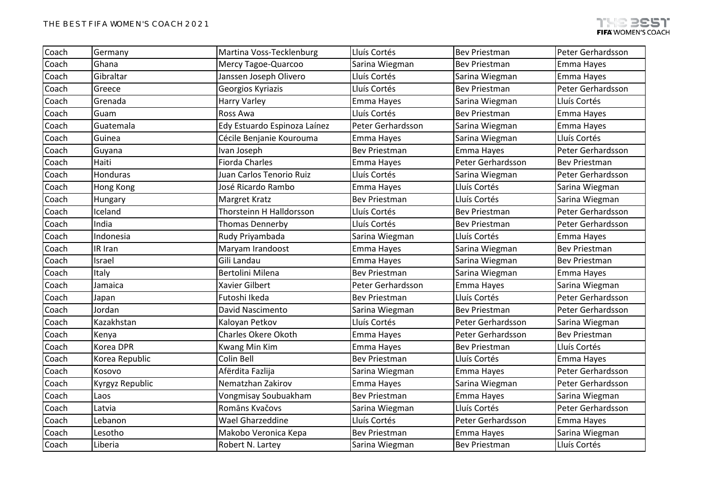| Coach | Germany         | Martina Voss-Tecklenburg     | Lluís Cortés         | <b>Bev Priestman</b> | Peter Gerhardsson    |
|-------|-----------------|------------------------------|----------------------|----------------------|----------------------|
| Coach | Ghana           | Mercy Tagoe-Quarcoo          | Sarina Wiegman       | <b>Bev Priestman</b> | Emma Hayes           |
| Coach | Gibraltar       | Janssen Joseph Olivero       | Lluís Cortés         | Sarina Wiegman       | Emma Hayes           |
| Coach | Greece          | Georgios Kyriazis            | Lluís Cortés         | <b>Bev Priestman</b> | Peter Gerhardsson    |
| Coach | Grenada         | <b>Harry Varley</b>          | Emma Hayes           | Sarina Wiegman       | Lluís Cortés         |
| Coach | Guam            | Ross Awa                     | Lluís Cortés         | <b>Bev Priestman</b> | Emma Hayes           |
| Coach | Guatemala       | Edy Estuardo Espinoza Laínez | Peter Gerhardsson    | Sarina Wiegman       | Emma Hayes           |
| Coach | Guinea          | Cécile Benjanie Kourouma     | Emma Hayes           | Sarina Wiegman       | Lluís Cortés         |
| Coach | Guyana          | Ivan Joseph                  | <b>Bev Priestman</b> | Emma Hayes           | Peter Gerhardsson    |
| Coach | Haiti           | <b>Fiorda Charles</b>        | Emma Hayes           | Peter Gerhardsson    | <b>Bev Priestman</b> |
| Coach | Honduras        | Juan Carlos Tenorio Ruiz     | Lluís Cortés         | Sarina Wiegman       | Peter Gerhardsson    |
| Coach | Hong Kong       | José Ricardo Rambo           | Emma Hayes           | Lluís Cortés         | Sarina Wiegman       |
| Coach | Hungary         | Margret Kratz                | <b>Bev Priestman</b> | Lluís Cortés         | Sarina Wiegman       |
| Coach | Iceland         | Thorsteinn H Halldorsson     | Lluís Cortés         | <b>Bev Priestman</b> | Peter Gerhardsson    |
| Coach | India           | Thomas Dennerby              | Lluís Cortés         | <b>Bev Priestman</b> | Peter Gerhardsson    |
| Coach | Indonesia       | Rudy Priyambada              | Sarina Wiegman       | Lluís Cortés         | Emma Hayes           |
| Coach | IR Iran         | Maryam Irandoost             | Emma Hayes           | Sarina Wiegman       | <b>Bev Priestman</b> |
| Coach | Israel          | Gili Landau                  | Emma Hayes           | Sarina Wiegman       | <b>Bev Priestman</b> |
| Coach | Italy           | Bertolini Milena             | <b>Bev Priestman</b> | Sarina Wiegman       | Emma Hayes           |
| Coach | Jamaica         | Xavier Gilbert               | Peter Gerhardsson    | Emma Hayes           | Sarina Wiegman       |
| Coach | Japan           | Futoshi Ikeda                | <b>Bev Priestman</b> | Lluís Cortés         | Peter Gerhardsson    |
| Coach | Jordan          | David Nascimento             | Sarina Wiegman       | <b>Bev Priestman</b> | Peter Gerhardsson    |
| Coach | Kazakhstan      | Kaloyan Petkov               | Lluís Cortés         | Peter Gerhardsson    | Sarina Wiegman       |
| Coach | Kenya           | <b>Charles Okere Okoth</b>   | Emma Hayes           | Peter Gerhardsson    | <b>Bev Priestman</b> |
| Coach | Korea DPR       | Kwang Min Kim                | Emma Hayes           | <b>Bev Priestman</b> | Lluís Cortés         |
| Coach | Korea Republic  | Colin Bell                   | <b>Bev Priestman</b> | Lluís Cortés         | Emma Hayes           |
| Coach | Kosovo          | Afërdita Fazlija             | Sarina Wiegman       | Emma Hayes           | Peter Gerhardsson    |
| Coach | Kyrgyz Republic | Nematzhan Zakirov            | Emma Hayes           | Sarina Wiegman       | Peter Gerhardsson    |
| Coach | Laos            | Vongmisay Soubuakham         | <b>Bev Priestman</b> | Emma Hayes           | Sarina Wiegman       |
| Coach | Latvia          | Romāns Kvačovs               | Sarina Wiegman       | Lluís Cortés         | Peter Gerhardsson    |
| Coach | Lebanon         | Wael Gharzeddine             | Lluís Cortés         | Peter Gerhardsson    | Emma Hayes           |
| Coach | Lesotho         | Makobo Veronica Kepa         | <b>Bev Priestman</b> | Emma Hayes           | Sarina Wiegman       |
| Coach | Liberia         | Robert N. Lartey             | Sarina Wiegman       | <b>Bev Priestman</b> | Lluís Cortés         |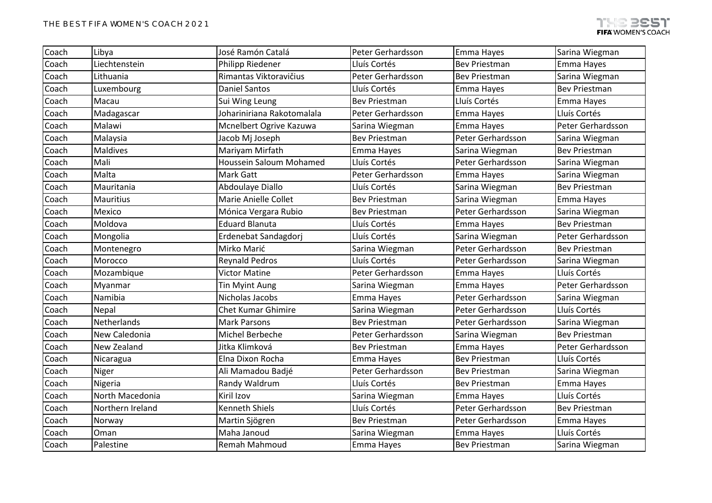| Coach | Libya            | José Ramón Catalá          | Peter Gerhardsson    | Emma Hayes           | Sarina Wiegman       |
|-------|------------------|----------------------------|----------------------|----------------------|----------------------|
| Coach | Liechtenstein    | <b>Philipp Riedener</b>    | Lluís Cortés         | <b>Bev Priestman</b> | Emma Hayes           |
| Coach | Lithuania        | Rimantas Viktoravičius     | Peter Gerhardsson    | <b>Bev Priestman</b> | Sarina Wiegman       |
| Coach | Luxembourg       | <b>Daniel Santos</b>       | Lluís Cortés         | Emma Hayes           | <b>Bev Priestman</b> |
| Coach | Macau            | Sui Wing Leung             | <b>Bev Priestman</b> | Lluís Cortés         | Emma Hayes           |
| Coach | Madagascar       | Johariniriana Rakotomalala | Peter Gerhardsson    | Emma Hayes           | Lluís Cortés         |
| Coach | Malawi           | Mcnelbert Ogrive Kazuwa    | Sarina Wiegman       | Emma Hayes           | Peter Gerhardsson    |
| Coach | Malaysia         | Jacob Mj Joseph            | <b>Bev Priestman</b> | Peter Gerhardsson    | Sarina Wiegman       |
| Coach | <b>Maldives</b>  | Mariyam Mirfath            | Emma Hayes           | Sarina Wiegman       | <b>Bev Priestman</b> |
| Coach | Mali             | Houssein Saloum Mohamed    | Lluís Cortés         | Peter Gerhardsson    | Sarina Wiegman       |
| Coach | Malta            | <b>Mark Gatt</b>           | Peter Gerhardsson    | Emma Hayes           | Sarina Wiegman       |
| Coach | Mauritania       | Abdoulaye Diallo           | Lluís Cortés         | Sarina Wiegman       | <b>Bev Priestman</b> |
| Coach | <b>Mauritius</b> | Marie Anielle Collet       | <b>Bev Priestman</b> | Sarina Wiegman       | Emma Hayes           |
| Coach | Mexico           | Mónica Vergara Rubio       | <b>Bev Priestman</b> | Peter Gerhardsson    | Sarina Wiegman       |
| Coach | Moldova          | <b>Eduard Blanuta</b>      | Lluís Cortés         | Emma Hayes           | <b>Bev Priestman</b> |
| Coach | Mongolia         | Erdenebat Sandagdorj       | Lluís Cortés         | Sarina Wiegman       | Peter Gerhardsson    |
| Coach | Montenegro       | Mirko Marić                | Sarina Wiegman       | Peter Gerhardsson    | Bev Priestman        |
| Coach | Morocco          | <b>Reynald Pedros</b>      | Lluís Cortés         | Peter Gerhardsson    | Sarina Wiegman       |
| Coach | Mozambique       | <b>Victor Matine</b>       | Peter Gerhardsson    | Emma Hayes           | Lluís Cortés         |
| Coach | Myanmar          | <b>Tin Myint Aung</b>      | Sarina Wiegman       | Emma Hayes           | Peter Gerhardsson    |
| Coach | Namibia          | Nicholas Jacobs            | Emma Hayes           | Peter Gerhardsson    | Sarina Wiegman       |
| Coach | Nepal            | <b>Chet Kumar Ghimire</b>  | Sarina Wiegman       | Peter Gerhardsson    | Lluís Cortés         |
| Coach | Netherlands      | <b>Mark Parsons</b>        | <b>Bev Priestman</b> | Peter Gerhardsson    | Sarina Wiegman       |
| Coach | New Caledonia    | Michel Berbeche            | Peter Gerhardsson    | Sarina Wiegman       | <b>Bev Priestman</b> |
| Coach | New Zealand      | Jitka Klimková             | <b>Bev Priestman</b> | Emma Hayes           | Peter Gerhardsson    |
| Coach | Nicaragua        | Elna Dixon Rocha           | Emma Hayes           | <b>Bev Priestman</b> | Lluís Cortés         |
| Coach | Niger            | Ali Mamadou Badjé          | Peter Gerhardsson    | <b>Bev Priestman</b> | Sarina Wiegman       |
| Coach | Nigeria          | Randy Waldrum              | Lluís Cortés         | <b>Bev Priestman</b> | Emma Hayes           |
| Coach | North Macedonia  | Kiril Izov                 | Sarina Wiegman       | Emma Hayes           | Lluís Cortés         |
| Coach | Northern Ireland | <b>Kenneth Shiels</b>      | Lluís Cortés         | Peter Gerhardsson    | Bev Priestman        |
| Coach | Norway           | Martin Sjögren             | <b>Bev Priestman</b> | Peter Gerhardsson    | Emma Hayes           |
| Coach | Oman             | Maha Janoud                | Sarina Wiegman       | Emma Hayes           | Lluís Cortés         |
| Coach | Palestine        | Remah Mahmoud              | Emma Hayes           | <b>Bev Priestman</b> | Sarina Wiegman       |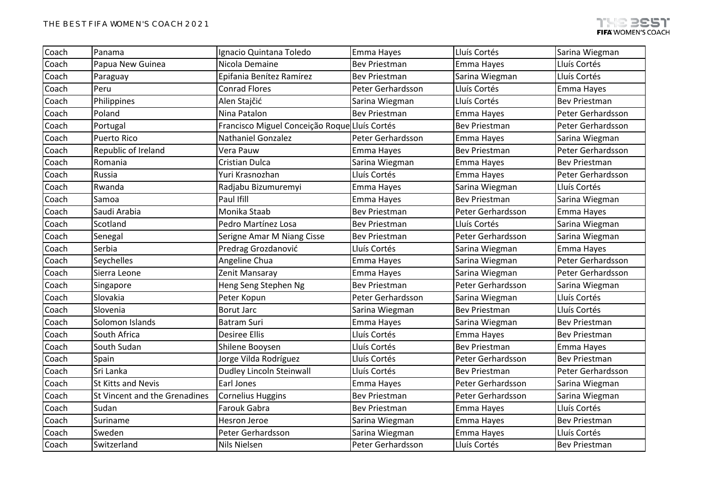| Coach | Panama                        | Ignacio Quintana Toledo                       | Emma Hayes           | Lluís Cortés         | Sarina Wiegman       |
|-------|-------------------------------|-----------------------------------------------|----------------------|----------------------|----------------------|
|       |                               |                                               |                      |                      |                      |
| Coach | Papua New Guinea              | Nicola Demaine                                | <b>Bev Priestman</b> | Emma Hayes           | Lluís Cortés         |
| Coach | Paraguay                      | Epifania Benítez Ramírez                      | <b>Bev Priestman</b> | Sarina Wiegman       | Lluís Cortés         |
| Coach | Peru                          | <b>Conrad Flores</b>                          | Peter Gerhardsson    | Lluís Cortés         | Emma Hayes           |
| Coach | Philippines                   | Alen Stajčić                                  | Sarina Wiegman       | Lluís Cortés         | <b>Bev Priestman</b> |
| Coach | Poland                        | Nina Patalon                                  | <b>Bev Priestman</b> | Emma Hayes           | Peter Gerhardsson    |
| Coach | Portugal                      | Francisco Miguel Conceição Roque Lluís Cortés |                      | <b>Bev Priestman</b> | Peter Gerhardsson    |
| Coach | <b>Puerto Rico</b>            | Nathaniel Gonzalez                            | Peter Gerhardsson    | Emma Hayes           | Sarina Wiegman       |
| Coach | Republic of Ireland           | Vera Pauw                                     | Emma Hayes           | <b>Bev Priestman</b> | Peter Gerhardsson    |
| Coach | Romania                       | <b>Cristian Dulca</b>                         | Sarina Wiegman       | Emma Hayes           | <b>Bev Priestman</b> |
| Coach | Russia                        | Yuri Krasnozhan                               | Lluís Cortés         | Emma Hayes           | Peter Gerhardsson    |
| Coach | Rwanda                        | Radjabu Bizumuremyi                           | Emma Hayes           | Sarina Wiegman       | Lluís Cortés         |
| Coach | Samoa                         | Paul Ifill                                    | Emma Hayes           | <b>Bev Priestman</b> | Sarina Wiegman       |
| Coach | Saudi Arabia                  | Monika Staab                                  | <b>Bev Priestman</b> | Peter Gerhardsson    | Emma Hayes           |
| Coach | Scotland                      | Pedro Martínez Losa                           | <b>Bev Priestman</b> | Lluís Cortés         | Sarina Wiegman       |
| Coach | Senegal                       | Serigne Amar M Niang Cisse                    | <b>Bev Priestman</b> | Peter Gerhardsson    | Sarina Wiegman       |
| Coach | Serbia                        | Predrag Grozdanović                           | Lluís Cortés         | Sarina Wiegman       | Emma Hayes           |
| Coach | Seychelles                    | Angeline Chua                                 | Emma Hayes           | Sarina Wiegman       | Peter Gerhardsson    |
| Coach | Sierra Leone                  | Zenit Mansaray                                | Emma Hayes           | Sarina Wiegman       | Peter Gerhardsson    |
| Coach | Singapore                     | Heng Seng Stephen Ng                          | <b>Bev Priestman</b> | Peter Gerhardsson    | Sarina Wiegman       |
| Coach | Slovakia                      | Peter Kopun                                   | Peter Gerhardsson    | Sarina Wiegman       | Lluís Cortés         |
| Coach | Slovenia                      | <b>Borut Jarc</b>                             | Sarina Wiegman       | <b>Bev Priestman</b> | Lluís Cortés         |
| Coach | Solomon Islands               | <b>Batram Suri</b>                            | Emma Hayes           | Sarina Wiegman       | <b>Bev Priestman</b> |
| Coach | South Africa                  | <b>Desiree Ellis</b>                          | Lluís Cortés         | Emma Hayes           | <b>Bev Priestman</b> |
| Coach | South Sudan                   | Shilene Booysen                               | Lluís Cortés         | <b>Bev Priestman</b> | Emma Hayes           |
| Coach | Spain                         | Jorge Vilda Rodríguez                         | Lluís Cortés         | Peter Gerhardsson    | <b>Bev Priestman</b> |
| Coach | Sri Lanka                     | <b>Dudley Lincoln Steinwall</b>               | Lluís Cortés         | <b>Bev Priestman</b> | Peter Gerhardsson    |
| Coach | <b>St Kitts and Nevis</b>     | Earl Jones                                    | Emma Hayes           | Peter Gerhardsson    | Sarina Wiegman       |
| Coach | St Vincent and the Grenadines | Cornelius Huggins                             | <b>Bev Priestman</b> | Peter Gerhardsson    | Sarina Wiegman       |
| Coach | Sudan                         | Farouk Gabra                                  | <b>Bev Priestman</b> | Emma Hayes           | Lluís Cortés         |
| Coach | Suriname                      | <b>Hesron Jeroe</b>                           | Sarina Wiegman       | Emma Hayes           | <b>Bev Priestman</b> |
| Coach | Sweden                        | Peter Gerhardsson                             | Sarina Wiegman       | Emma Hayes           | Lluís Cortés         |
| Coach | Switzerland                   | Nils Nielsen                                  | Peter Gerhardsson    | Lluís Cortés         | <b>Bev Priestman</b> |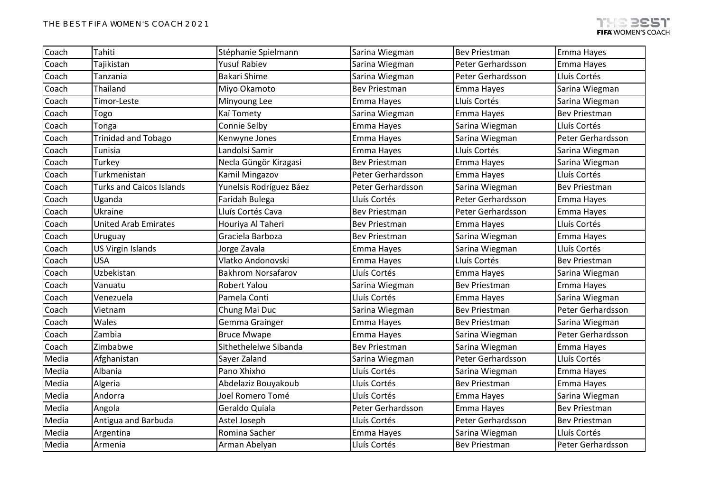| Coach | Tahiti                          | Stéphanie Spielmann       | Sarina Wiegman       | <b>Bev Priestman</b> | Emma Hayes           |
|-------|---------------------------------|---------------------------|----------------------|----------------------|----------------------|
| Coach | Tajikistan                      | <b>Yusuf Rabiev</b>       | Sarina Wiegman       | Peter Gerhardsson    | Emma Hayes           |
| Coach | Tanzania                        | <b>Bakari Shime</b>       | Sarina Wiegman       | Peter Gerhardsson    | Lluís Cortés         |
| Coach | Thailand                        | Miyo Okamoto              | <b>Bev Priestman</b> | Emma Hayes           | Sarina Wiegman       |
| Coach | Timor-Leste                     | Minyoung Lee              | Emma Hayes           | Lluís Cortés         | Sarina Wiegman       |
| Coach | Togo                            | Kaï Tomety                | Sarina Wiegman       | Emma Hayes           | <b>Bev Priestman</b> |
| Coach | Tonga                           | Connie Selby              | Emma Hayes           | Sarina Wiegman       | Lluís Cortés         |
| Coach | <b>Trinidad and Tobago</b>      | Kenwyne Jones             | Emma Hayes           | Sarina Wiegman       | Peter Gerhardsson    |
| Coach | Tunisia                         | Landolsi Samir            | Emma Hayes           | Lluís Cortés         | Sarina Wiegman       |
| Coach | Turkey                          | Necla Güngör Kiragasi     | <b>Bev Priestman</b> | Emma Hayes           | Sarina Wiegman       |
| Coach | Turkmenistan                    | Kamil Mingazov            | Peter Gerhardsson    | Emma Hayes           | Lluís Cortés         |
| Coach | <b>Turks and Caicos Islands</b> | Yunelsis Rodríguez Báez   | Peter Gerhardsson    | Sarina Wiegman       | <b>Bev Priestman</b> |
| Coach | Uganda                          | Faridah Bulega            | Lluís Cortés         | Peter Gerhardsson    | Emma Hayes           |
| Coach | Ukraine                         | Lluís Cortés Cava         | <b>Bev Priestman</b> | Peter Gerhardsson    | Emma Hayes           |
| Coach | <b>United Arab Emirates</b>     | Houriya Al Taheri         | <b>Bev Priestman</b> | Emma Hayes           | Lluís Cortés         |
| Coach | <b>Uruguay</b>                  | Graciela Barboza          | <b>Bev Priestman</b> | Sarina Wiegman       | Emma Hayes           |
| Coach | <b>US Virgin Islands</b>        | Jorge Zavala              | Emma Hayes           | Sarina Wiegman       | Lluís Cortés         |
| Coach | <b>USA</b>                      | Vlatko Andonovski         | Emma Hayes           | Lluís Cortés         | <b>Bev Priestman</b> |
| Coach | Uzbekistan                      | <b>Bakhrom Norsafarov</b> | Lluís Cortés         | Emma Hayes           | Sarina Wiegman       |
| Coach | Vanuatu                         | <b>Robert Yalou</b>       | Sarina Wiegman       | <b>Bev Priestman</b> | Emma Hayes           |
| Coach | Venezuela                       | Pamela Conti              | Lluís Cortés         | Emma Hayes           | Sarina Wiegman       |
| Coach | Vietnam                         | Chung Mai Duc             | Sarina Wiegman       | <b>Bev Priestman</b> | Peter Gerhardsson    |
| Coach | Wales                           | Gemma Grainger            | Emma Hayes           | <b>Bev Priestman</b> | Sarina Wiegman       |
| Coach | Zambia                          | <b>Bruce Mwape</b>        | Emma Hayes           | Sarina Wiegman       | Peter Gerhardsson    |
| Coach | Zimbabwe                        | Sithethelelwe Sibanda     | <b>Bev Priestman</b> | Sarina Wiegman       | Emma Hayes           |
| Media | Afghanistan                     | Sayer Zaland              | Sarina Wiegman       | Peter Gerhardsson    | Lluís Cortés         |
| Media | Albania                         | Pano Xhixho               | Lluís Cortés         | Sarina Wiegman       | Emma Hayes           |
| Media | Algeria                         | Abdelaziz Bouyakoub       | Lluís Cortés         | <b>Bev Priestman</b> | Emma Hayes           |
| Media | Andorra                         | Joel Romero Tomé          | Lluís Cortés         | Emma Hayes           | Sarina Wiegman       |
| Media | Angola                          | Geraldo Quiala            | Peter Gerhardsson    | Emma Hayes           | <b>Bev Priestman</b> |
| Media | Antigua and Barbuda             | Astel Joseph              | Lluís Cortés         | Peter Gerhardsson    | <b>Bev Priestman</b> |
| Media | Argentina                       | Romina Sacher             | Emma Hayes           | Sarina Wiegman       | Lluís Cortés         |
| Media | Armenia                         | Arman Abelyan             | Lluís Cortés         | <b>Bev Priestman</b> | Peter Gerhardsson    |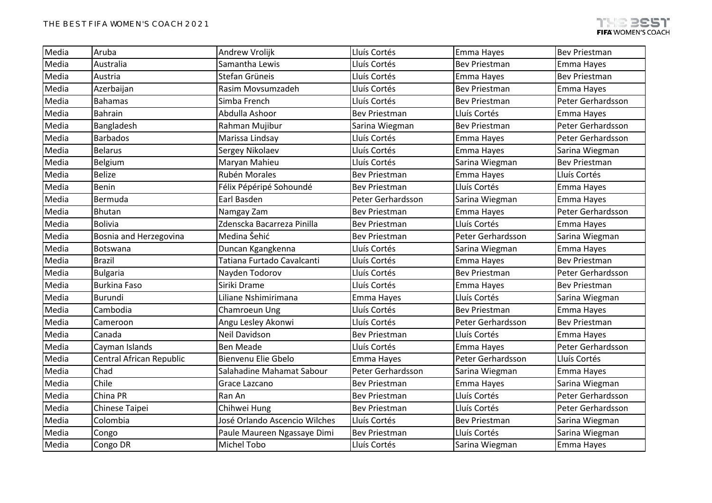| Media | Aruba                    | Andrew Vrolijk                | Lluís Cortés         | Emma Hayes           | <b>Bev Priestman</b> |
|-------|--------------------------|-------------------------------|----------------------|----------------------|----------------------|
| Media | Australia                | Samantha Lewis                | Lluís Cortés         | <b>Bev Priestman</b> | Emma Hayes           |
| Media | Austria                  | Stefan Grüneis                | Lluís Cortés         | Emma Hayes           | <b>Bev Priestman</b> |
| Media | Azerbaijan               | Rasim Movsumzadeh             | Lluís Cortés         | <b>Bev Priestman</b> | Emma Hayes           |
| Media | <b>Bahamas</b>           | Simba French                  | Lluís Cortés         | <b>Bev Priestman</b> | Peter Gerhardsson    |
| Media | <b>Bahrain</b>           | Abdulla Ashoor                | <b>Bev Priestman</b> | Lluís Cortés         | Emma Hayes           |
| Media | Bangladesh               | Rahman Mujibur                | Sarina Wiegman       | <b>Bev Priestman</b> | Peter Gerhardsson    |
| Media | <b>Barbados</b>          | Marissa Lindsay               | Lluís Cortés         | Emma Hayes           | Peter Gerhardsson    |
| Media | <b>Belarus</b>           | Sergey Nikolaev               | Lluís Cortés         | Emma Hayes           | Sarina Wiegman       |
| Media | Belgium                  | Maryan Mahieu                 | Lluís Cortés         | Sarina Wiegman       | <b>Bev Priestman</b> |
| Media | <b>Belize</b>            | Rubén Morales                 | <b>Bev Priestman</b> | Emma Hayes           | Lluís Cortés         |
| Media | <b>Benin</b>             | Félix Pépéripé Sohoundé       | Bev Priestman        | Lluís Cortés         | Emma Hayes           |
| Media | Bermuda                  | Earl Basden                   | Peter Gerhardsson    | Sarina Wiegman       | Emma Hayes           |
| Media | <b>Bhutan</b>            | Namgay Zam                    | <b>Bev Priestman</b> | Emma Hayes           | Peter Gerhardsson    |
| Media | <b>Bolivia</b>           | Zdenscka Bacarreza Pinilla    | <b>Bev Priestman</b> | Lluís Cortés         | Emma Hayes           |
| Media | Bosnia and Herzegovina   | Medina Šehić                  | <b>Bev Priestman</b> | Peter Gerhardsson    | Sarina Wiegman       |
| Media | Botswana                 | Duncan Kgangkenna             | Lluís Cortés         | Sarina Wiegman       | Emma Hayes           |
| Media | <b>Brazil</b>            | Tatiana Furtado Cavalcanti    | Lluís Cortés         | Emma Hayes           | <b>Bev Priestman</b> |
| Media | <b>Bulgaria</b>          | Nayden Todorov                | Lluís Cortés         | <b>Bev Priestman</b> | Peter Gerhardsson    |
| Media | <b>Burkina Faso</b>      | Siriki Drame                  | Lluís Cortés         | Emma Hayes           | <b>Bev Priestman</b> |
| Media | Burundi                  | Liliane Nshimirimana          | Emma Hayes           | Lluís Cortés         | Sarina Wiegman       |
| Media | Cambodia                 | Chamroeun Ung                 | Lluís Cortés         | <b>Bev Priestman</b> | Emma Hayes           |
| Media | Cameroon                 | Angu Lesley Akonwi            | Lluís Cortés         | Peter Gerhardsson    | <b>Bev Priestman</b> |
| Media | Canada                   | Neil Davidson                 | <b>Bev Priestman</b> | Lluís Cortés         | Emma Hayes           |
| Media | Cayman Islands           | <b>Ben Meade</b>              | Lluís Cortés         | Emma Hayes           | Peter Gerhardsson    |
| Media | Central African Republic | Bienvenu Elie Gbelo           | Emma Hayes           | Peter Gerhardsson    | Lluís Cortés         |
| Media | Chad                     | Salahadine Mahamat Sabour     | Peter Gerhardsson    | Sarina Wiegman       | Emma Hayes           |
| Media | Chile                    | Grace Lazcano                 | <b>Bev Priestman</b> | Emma Hayes           | Sarina Wiegman       |
| Media | China PR                 | Ran An                        | <b>Bev Priestman</b> | Lluís Cortés         | Peter Gerhardsson    |
| Media | Chinese Taipei           | Chihwei Hung                  | <b>Bev Priestman</b> | Lluís Cortés         | Peter Gerhardsson    |
| Media | Colombia                 | José Orlando Ascencio Wilches | Lluís Cortés         | <b>Bev Priestman</b> | Sarina Wiegman       |
| Media | Congo                    | Paule Maureen Ngassaye Dimi   | Bev Priestman        | Lluís Cortés         | Sarina Wiegman       |
| Media | Congo DR                 | <b>Michel Tobo</b>            | Lluís Cortés         | Sarina Wiegman       | Emma Hayes           |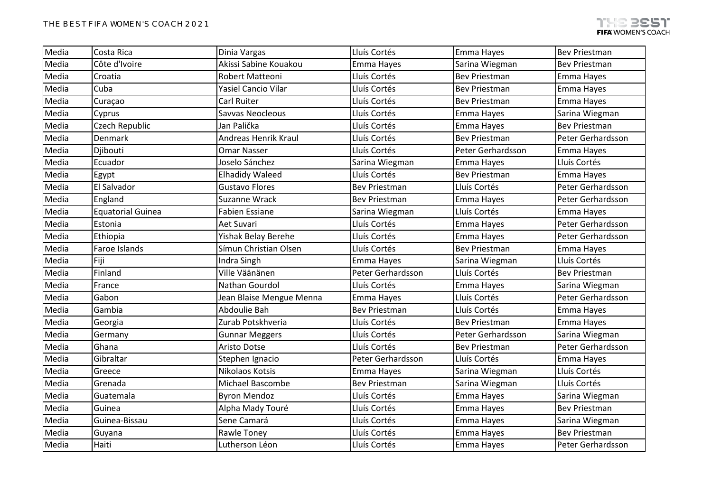| Media | Costa Rica            | Dinia Vargas               | Lluís Cortés         | Emma Hayes           | <b>Bev Priestman</b> |
|-------|-----------------------|----------------------------|----------------------|----------------------|----------------------|
| Media | Côte d'Ivoire         | Akissi Sabine Kouakou      | Emma Hayes           | Sarina Wiegman       | <b>Bev Priestman</b> |
| Media | Croatia               | Robert Matteoni            | Lluís Cortés         | <b>Bev Priestman</b> | Emma Hayes           |
| Media | Cuba                  | <b>Yasiel Cancio Vilar</b> | Lluís Cortés         | <b>Bev Priestman</b> | Emma Hayes           |
| Media | Curaçao               | Carl Ruiter                | Lluís Cortés         | Bev Priestman        | Emma Hayes           |
| Media | Cyprus                | Savvas Neocleous           | Lluís Cortés         | Emma Hayes           | Sarina Wiegman       |
| Media | <b>Czech Republic</b> | Jan Palička                | Lluís Cortés         | Emma Hayes           | <b>Bev Priestman</b> |
| Media | Denmark               | Andreas Henrik Kraul       | Lluís Cortés         | <b>Bev Priestman</b> | Peter Gerhardsson    |
| Media | Djibouti              | <b>Omar Nasser</b>         | Lluís Cortés         | Peter Gerhardsson    | Emma Hayes           |
| Media | Ecuador               | Joselo Sánchez             | Sarina Wiegman       | Emma Hayes           | Lluís Cortés         |
| Media | Egypt                 | <b>Elhadidy Waleed</b>     | Lluís Cortés         | <b>Bev Priestman</b> | Emma Hayes           |
| Media | El Salvador           | <b>Gustavo Flores</b>      | Bev Priestman        | Lluís Cortés         | Peter Gerhardsson    |
| Media | England               | Suzanne Wrack              | <b>Bev Priestman</b> | Emma Hayes           | Peter Gerhardsson    |
| Media | Equatorial Guinea     | <b>Fabien Essiane</b>      | Sarina Wiegman       | Lluís Cortés         | Emma Hayes           |
| Media | Estonia               | Aet Suvari                 | Lluís Cortés         | Emma Hayes           | Peter Gerhardsson    |
| Media | Ethiopia              | Yishak Belay Berehe        | Lluís Cortés         | Emma Hayes           | Peter Gerhardsson    |
| Media | Faroe Islands         | Símun Christian Olsen      | Lluís Cortés         | <b>Bev Priestman</b> | Emma Hayes           |
| Media | Fiji                  | Indra Singh                | Emma Hayes           | Sarina Wiegman       | Lluís Cortés         |
| Media | Finland               | Ville Väänänen             | Peter Gerhardsson    | Lluís Cortés         | <b>Bev Priestman</b> |
| Media | France                | Nathan Gourdol             | Lluís Cortés         | Emma Hayes           | Sarina Wiegman       |
| Media | Gabon                 | Jean Blaise Mengue Menna   | Emma Hayes           | Lluís Cortés         | Peter Gerhardsson    |
| Media | Gambia                | Abdoulie Bah               | <b>Bev Priestman</b> | Lluís Cortés         | Emma Hayes           |
| Media | Georgia               | Zurab Potskhveria          | Lluís Cortés         | <b>Bev Priestman</b> | Emma Hayes           |
| Media | Germany               | <b>Gunnar Meggers</b>      | Lluís Cortés         | Peter Gerhardsson    | Sarina Wiegman       |
| Media | Ghana                 | Aristo Dotse               | Lluís Cortés         | <b>Bev Priestman</b> | Peter Gerhardsson    |
| Media | Gibraltar             | Stephen Ignacio            | Peter Gerhardsson    | Lluís Cortés         | Emma Hayes           |
| Media | Greece                | Nikolaos Kotsis            | Emma Hayes           | Sarina Wiegman       | Lluís Cortés         |
| Media | Grenada               | <b>Michael Bascombe</b>    | <b>Bev Priestman</b> | Sarina Wiegman       | Lluís Cortés         |
| Media | Guatemala             | <b>Byron Mendoz</b>        | Lluís Cortés         | Emma Hayes           | Sarina Wiegman       |
| Media | Guinea                | Alpha Mady Touré           | Lluís Cortés         | Emma Hayes           | <b>Bev Priestman</b> |
| Media | Guinea-Bissau         | Sene Camará                | Lluís Cortés         | Emma Hayes           | Sarina Wiegman       |
| Media | Guyana                | Rawle Toney                | Lluís Cortés         | Emma Hayes           | <b>Bev Priestman</b> |
| Media | Haiti                 | Lutherson Léon             | Lluís Cortés         | Emma Hayes           | Peter Gerhardsson    |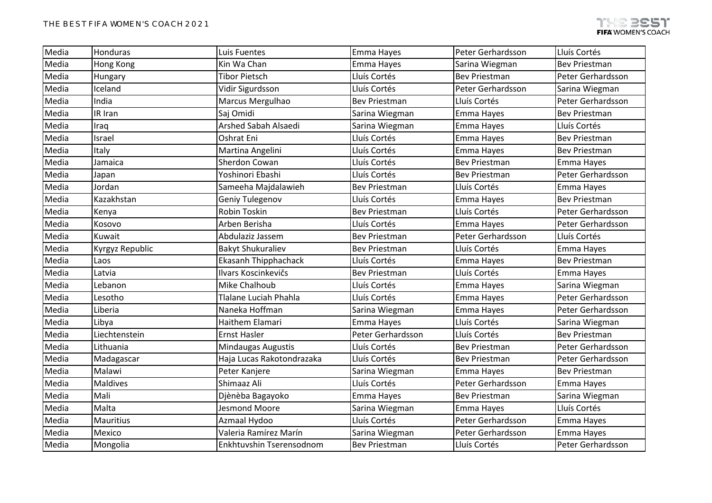| Media | Honduras               | Luis Fuentes                | Emma Hayes           | Peter Gerhardsson    | Lluís Cortés         |
|-------|------------------------|-----------------------------|----------------------|----------------------|----------------------|
| Media | <b>Hong Kong</b>       | Kin Wa Chan                 | Emma Hayes           | Sarina Wiegman       | <b>Bev Priestman</b> |
| Media | Hungary                | <b>Tibor Pietsch</b>        | Lluís Cortés         | <b>Bev Priestman</b> | Peter Gerhardsson    |
| Media | Iceland                | Vidir Sigurdsson            | Lluís Cortés         | Peter Gerhardsson    | Sarina Wiegman       |
| Media | India                  | Marcus Mergulhao            | <b>Bev Priestman</b> | Lluís Cortés         | Peter Gerhardsson    |
| Media | IR Iran                | Saj Omidi                   | Sarina Wiegman       | Emma Hayes           | <b>Bev Priestman</b> |
| Media | Iraq                   | <b>Arshed Sabah Alsaedi</b> | Sarina Wiegman       | Emma Hayes           | Lluís Cortés         |
| Media | Israel                 | Oshrat Eni                  | Lluís Cortés         | Emma Hayes           | <b>Bev Priestman</b> |
| Media | Italy                  | Martina Angelini            | Lluís Cortés         | Emma Hayes           | <b>Bev Priestman</b> |
| Media | Jamaica                | Sherdon Cowan               | Lluís Cortés         | <b>Bev Priestman</b> | Emma Hayes           |
| Media | Japan                  | Yoshinori Ebashi            | Lluís Cortés         | <b>Bev Priestman</b> | Peter Gerhardsson    |
| Media | Jordan                 | Sameeha Majdalawieh         | <b>Bev Priestman</b> | Lluís Cortés         | Emma Hayes           |
| Media | Kazakhstan             | Geniy Tulegenov             | Lluís Cortés         | Emma Hayes           | <b>Bev Priestman</b> |
| Media | Kenya                  | <b>Robin Toskin</b>         | <b>Bev Priestman</b> | Lluís Cortés         | Peter Gerhardsson    |
| Media | Kosovo                 | Arben Berisha               | Lluís Cortés         | Emma Hayes           | Peter Gerhardsson    |
| Media | Kuwait                 | Abdulaziz Jassem            | <b>Bev Priestman</b> | Peter Gerhardsson    | Lluís Cortés         |
| Media | <b>Kyrgyz Republic</b> | <b>Bakyt Shukuraliev</b>    | <b>Bev Priestman</b> | Lluís Cortés         | Emma Hayes           |
| Media | Laos                   | <b>Ekasanh Thipphachack</b> | Lluís Cortés         | Emma Hayes           | <b>Bev Priestman</b> |
| Media | Latvia                 | Ilvars Koscinkevičs         | <b>Bev Priestman</b> | Lluís Cortés         | Emma Hayes           |
| Media | Lebanon                | <b>Mike Chalhoub</b>        | Lluís Cortés         | Emma Hayes           | Sarina Wiegman       |
| Media | Lesotho                | Tlalane Luciah Phahla       | Lluís Cortés         | Emma Hayes           | Peter Gerhardsson    |
| Media | Liberia                | Naneka Hoffman              | Sarina Wiegman       | Emma Hayes           | Peter Gerhardsson    |
| Media | Libya                  | Haithem Elamari             | Emma Hayes           | Lluís Cortés         | Sarina Wiegman       |
| Media | Liechtenstein          | <b>Ernst Hasler</b>         | Peter Gerhardsson    | Lluís Cortés         | <b>Bev Priestman</b> |
| Media | Lithuania              | <b>Mindaugas Augustis</b>   | Lluís Cortés         | <b>Bev Priestman</b> | Peter Gerhardsson    |
| Media | Madagascar             | Haja Lucas Rakotondrazaka   | Lluís Cortés         | <b>Bev Priestman</b> | Peter Gerhardsson    |
| Media | Malawi                 | Peter Kanjere               | Sarina Wiegman       | Emma Hayes           | <b>Bev Priestman</b> |
| Media | <b>Maldives</b>        | Shimaaz Ali                 | Lluís Cortés         | Peter Gerhardsson    | Emma Hayes           |
| Media | Mali                   | Djènèba Bagayoko            | Emma Hayes           | <b>Bev Priestman</b> | Sarina Wiegman       |
| Media | Malta                  | Jesmond Moore               | Sarina Wiegman       | Emma Hayes           | Lluís Cortés         |
| Media | <b>Mauritius</b>       | Azmaal Hydoo                | Lluís Cortés         | Peter Gerhardsson    | Emma Hayes           |
| Media | Mexico                 | Valeria Ramírez Marín       | Sarina Wiegman       | Peter Gerhardsson    | Emma Hayes           |
| Media | Mongolia               | Enkhtuvshin Tserensodnom    | <b>Bev Priestman</b> | Lluís Cortés         | Peter Gerhardsson    |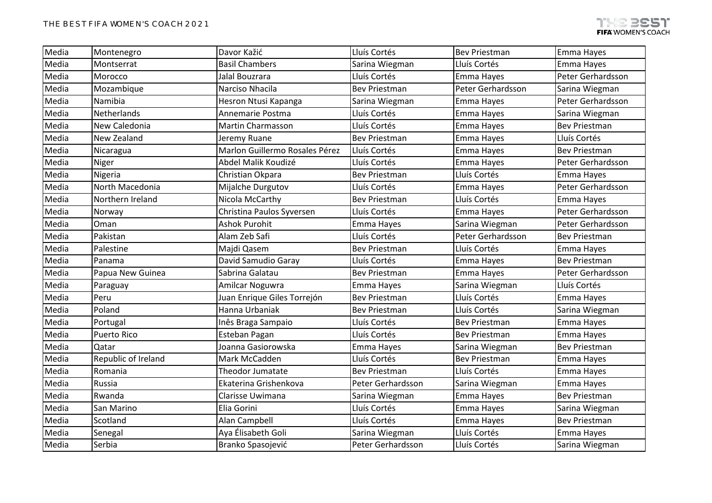| Media | Montenegro          | Davor Kažić                    | Lluís Cortés         | <b>Bev Priestman</b> | Emma Hayes           |
|-------|---------------------|--------------------------------|----------------------|----------------------|----------------------|
| Media | Montserrat          | <b>Basil Chambers</b>          | Sarina Wiegman       | Lluís Cortés         | Emma Hayes           |
| Media | Morocco             | Jalal Bouzrara                 | Lluís Cortés         | Emma Hayes           | Peter Gerhardsson    |
| Media | Mozambique          | Narciso Nhacila                | <b>Bev Priestman</b> | Peter Gerhardsson    | Sarina Wiegman       |
| Media | Namibia             | Hesron Ntusi Kapanga           | Sarina Wiegman       | Emma Hayes           | Peter Gerhardsson    |
| Media | Netherlands         | Annemarie Postma               | Lluís Cortés         | Emma Hayes           | Sarina Wiegman       |
| Media | New Caledonia       | Martin Charmasson              | Lluís Cortés         | Emma Hayes           | <b>Bev Priestman</b> |
| Media | New Zealand         | Jeremy Ruane                   | <b>Bev Priestman</b> | Emma Hayes           | Lluís Cortés         |
| Media | Nicaragua           | Marlon Guillermo Rosales Pérez | Lluís Cortés         | Emma Hayes           | <b>Bev Priestman</b> |
| Media | Niger               | Abdel Malik Koudizé            | Lluís Cortés         | Emma Hayes           | Peter Gerhardsson    |
| Media | Nigeria             | Christian Okpara               | <b>Bev Priestman</b> | Lluís Cortés         | Emma Hayes           |
| Media | North Macedonia     | Mijalche Durgutov              | Lluís Cortés         | Emma Hayes           | Peter Gerhardsson    |
| Media | Northern Ireland    | Nicola McCarthy                | <b>Bev Priestman</b> | Lluís Cortés         | Emma Hayes           |
| Media | Norway              | Christina Paulos Syversen      | Lluís Cortés         | Emma Hayes           | Peter Gerhardsson    |
| Media | Oman                | <b>Ashok Purohit</b>           | Emma Hayes           | Sarina Wiegman       | Peter Gerhardsson    |
| Media | Pakistan            | Alam Zeb Safi                  | Lluís Cortés         | Peter Gerhardsson    | <b>Bev Priestman</b> |
| Media | Palestine           | Majdi Qasem                    | <b>Bev Priestman</b> | Lluís Cortés         | Emma Hayes           |
| Media | Panama              | David Samudio Garay            | Lluís Cortés         | Emma Hayes           | <b>Bev Priestman</b> |
| Media | Papua New Guinea    | Sabrina Galatau                | <b>Bev Priestman</b> | Emma Hayes           | Peter Gerhardsson    |
| Media | Paraguay            | Amilcar Noguwra                | Emma Hayes           | Sarina Wiegman       | Lluís Cortés         |
| Media | Peru                | Juan Enrique Giles Torrejón    | <b>Bev Priestman</b> | Lluís Cortés         | Emma Hayes           |
| Media | Poland              | Hanna Urbaniak                 | <b>Bev Priestman</b> | Lluís Cortés         | Sarina Wiegman       |
| Media | Portugal            | Inês Braga Sampaio             | Lluís Cortés         | <b>Bev Priestman</b> | Emma Hayes           |
| Media | <b>Puerto Rico</b>  | Esteban Pagan                  | Lluís Cortés         | <b>Bev Priestman</b> | Emma Hayes           |
| Media | Qatar               | Joanna Gasiorowska             | Emma Hayes           | Sarina Wiegman       | <b>Bev Priestman</b> |
| Media | Republic of Ireland | Mark McCadden                  | Lluís Cortés         | <b>Bev Priestman</b> | Emma Hayes           |
| Media | Romania             | Theodor Jumatate               | <b>Bev Priestman</b> | Lluís Cortés         | Emma Hayes           |
| Media | Russia              | Ekaterina Grishenkova          | Peter Gerhardsson    | Sarina Wiegman       | Emma Hayes           |
| Media | Rwanda              | Clarisse Uwimana               | Sarina Wiegman       | Emma Hayes           | <b>Bev Priestman</b> |
| Media | San Marino          | Elia Gorini                    | Lluís Cortés         | Emma Hayes           | Sarina Wiegman       |
| Media | Scotland            | Alan Campbell                  | Lluís Cortés         | Emma Hayes           | <b>Bev Priestman</b> |
| Media | Senegal             | Aya Élisabeth Goli             | Sarina Wiegman       | Lluís Cortés         | Emma Hayes           |
| Media | Serbia              | Branko Spasojević              | Peter Gerhardsson    | Lluís Cortés         | Sarina Wiegman       |